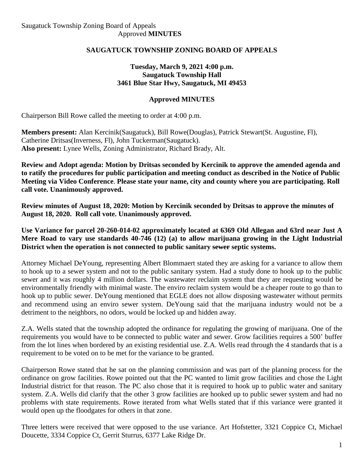# **SAUGATUCK TOWNSHIP ZONING BOARD OF APPEALS**

## **Tuesday, March 9, 2021 4:00 p.m. Saugatuck Township Hall 3461 Blue Star Hwy, Saugatuck, MI 49453**

# **Approved MINUTES**

Chairperson Bill Rowe called the meeting to order at 4:00 p.m.

**Members present:** Alan Kercinik(Saugatuck), Bill Rowe(Douglas), Patrick Stewart(St. Augustine, Fl), Catherine Dritsas(Inverness, Fl), John Tuckerman(Saugatuck). **Also present:** Lynee Wells, Zoning Administrator, Richard Brady, Alt.

**Review and Adopt agenda: Motion by Dritsas seconded by Kercinik to approve the amended agenda and to ratify the procedures for public participation and meeting conduct as described in the Notice of Public Meeting via Video Conference**. **Please state your name, city and county where you are participating. Roll call vote. Unanimously approved.**

**Review minutes of August 18, 2020: Motion by Kercinik seconded by Dritsas to approve the minutes of August 18, 2020. Roll call vote. Unanimously approved.**

**Use Variance for parcel 20-260-014-02 approximately located at 6369 Old Allegan and 63rd near Just A Mere Road to vary use standards 40-746 (12) (a) to allow marijuana growing in the Light Industrial District when the operation is not connected to public sanitary sewer septic systems.** 

Attorney Michael DeYoung, representing Albert Blommaert stated they are asking for a variance to allow them to hook up to a sewer system and not to the public sanitary system. Had a study done to hook up to the public sewer and it was roughly 4 million dollars. The wastewater reclaim system that they are requesting would be environmentally friendly with minimal waste. The enviro reclaim system would be a cheaper route to go than to hook up to public sewer. DeYoung mentioned that EGLE does not allow disposing wastewater without permits and recommend using an enviro sewer system. DeYoung said that the marijuana industry would not be a detriment to the neighbors, no odors, would be locked up and hidden away.

Z.A. Wells stated that the township adopted the ordinance for regulating the growing of marijuana. One of the requirements you would have to be connected to public water and sewer. Grow facilities requires a 500' buffer from the lot lines when bordered by an existing residential use. Z.A. Wells read through the 4 standards that is a requirement to be voted on to be met for the variance to be granted.

Chairperson Rowe stated that he sat on the planning commission and was part of the planning process for the ordinance on grow facilities. Rowe pointed out that the PC wanted to limit grow facilities and chose the Light Industrial district for that reason. The PC also chose that it is required to hook up to public water and sanitary system. Z.A. Wells did clarify that the other 3 grow facilities are hooked up to public sewer system and had no problems with state requirements. Rowe iterated from what Wells stated that if this variance were granted it would open up the floodgates for others in that zone.

Three letters were received that were opposed to the use variance. Art Hofstetter, 3321 Coppice Ct, Michael Doucette, 3334 Coppice Ct, Gerrit Sturrus, 6377 Lake Ridge Dr.